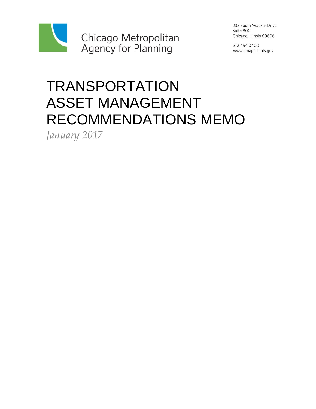

233 South Wacker Drive Suite 800 Chicago, Illinois 60606

312 454 0400 www.cmap.illinois.gov

# **TRANSPORTATION** ASSET MANAGEMENT RECOMMENDATIONS MEMO

*January 2017*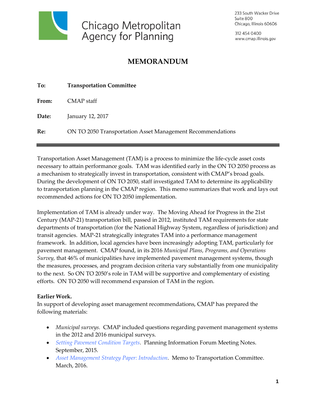

233 South Wacker Drive Suite 800 Chicago, Illinois 60606

312 454 0400 www.cmap.illinois.gov

# **MEMORANDUM**

| To:   | <b>Transportation Committee</b>                            |
|-------|------------------------------------------------------------|
| From: | CMAP staff                                                 |
| Date: | January 12, 2017                                           |
| Re:   | ON TO 2050 Transportation Asset Management Recommendations |

Transportation Asset Management (TAM) is a process to minimize the life-cycle asset costs necessary to attain performance goals. TAM was identified early in the ON TO 2050 process as a mechanism to strategically invest in transportation, consistent with CMAP's broad goals. During the development of ON TO 2050, staff investigated TAM to determine its applicability to transportation planning in the CMAP region. This memo summarizes that work and lays out recommended actions for ON TO 2050 implementation.

Implementation of TAM is already under way. The Moving Ahead for Progress in the 21st Century (MAP-21) transportation bill, passed in 2012, instituted TAM requirements for state departments of transportation (for the National Highway System, regardless of jurisdiction) and transit agencies. MAP-21 strategically integrates TAM into a performance management framework. In addition, local agencies have been increasingly adopting TAM, particularly for pavement management. CMAP found, in its 2016 *Municipal Plans, Programs, and Operations Survey,* that 46% of municipalities have implemented pavement management systems, though the measures, processes, and program decision criteria vary substantially from one municipality to the next. So ON TO 2050's role in TAM will be supportive and complementary of existing efforts. ON TO 2050 will recommend expansion of TAM in the region.

#### **Earlier Work.**

In support of developing asset management recommendations, CMAP has prepared the following materials:

- *Municipal surveys.* CMAP included questions regarding pavement management systems in the 2012 and 2016 municipal surveys.
- *[Setting Pavement Condition Targets.](http://www.cmap.illinois.gov/documents/10180/489731/pavement_forum_notes_v2.pdf)* Planning Information Forum Meeting Notes. September, 2015.
- [Asset Management Strategy Paper: Introduction.](http://www.cmap.illinois.gov/documents/10180/520073/TC_memo_AssetManagement_20160304_final.pdf) **Memo to Transportation Committee.** March, 2016.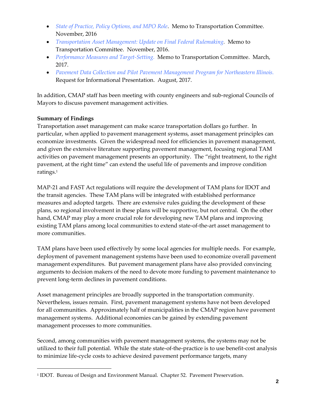- *[State of Practice, Policy Options, and MPO Role](http://www.cmap.illinois.gov/documents/10180/595578/TC_memo2_AssetManagement_20161111.pdf)*. Memo to Transportation Committee. November, 2016
- *[Transportation Asset Management: Update on Final Federal Rulemaking.](http://www.cmap.illinois.gov/documents/10180/595578/TC_memo3_AssetManagementFinalFederalRules_20161111.pdf)* Memo to Transportation Committee. November, 2016.
- *[Performance Measures and Target-Setting.](http://www.cmap.illinois.gov/documents/10180/622499/TC+memo+targets+and+performance+measures+Mar+2017Final.pdf)* Memo to Transportation Committee. March, 2017.
- *[Pavement Data Collection and Pilot Pavement Management Program for Northeastern Illinois.](http://www.cmap.illinois.gov/documents/10180/78172/RFI+177+Pavement+Management+System+Pilot.pdf)*  Request for Informational Presentation. August, 2017.

In addition, CMAP staff has been meeting with county engineers and sub-regional Councils of Mayors to discuss pavement management activities.

## **Summary of Findings**

1

Transportation asset management can make scarce transportation dollars go further. In particular, when applied to pavement management systems, asset management principles can economize investments. Given the widespread need for efficiencies in pavement management, and given the extensive literature supporting pavement management, focusing regional TAM activities on pavement management presents an opportunity. The "right treatment, to the right pavement, at the right time" can extend the useful life of pavements and improve condition ratings.<sup>1</sup>

MAP-21 and FAST Act regulations will require the development of TAM plans for IDOT and the transit agencies. These TAM plans will be integrated with established performance measures and adopted targets. There are extensive rules guiding the development of these plans, so regional involvement in these plans will be supportive, but not central. On the other hand, CMAP may play a more crucial role for developing new TAM plans and improving existing TAM plans among local communities to extend state-of-the-art asset management to more communities.

TAM plans have been used effectively by some local agencies for multiple needs. For example, deployment of pavement management systems have been used to economize overall pavement management expenditures. But pavement management plans have also provided convincing arguments to decision makers of the need to devote more funding to pavement maintenance to prevent long-term declines in pavement conditions.

Asset management principles are broadly supported in the transportation community. Nevertheless, issues remain. First, pavement management systems have not been developed for all communities. Approximately half of municipalities in the CMAP region have pavement management systems. Additional economies can be gained by extending pavement management processes to more communities.

Second, among communities with pavement management systems, the systems may not be utilized to their full potential. While the state state-of-the-practice is to use benefit-cost analysis to minimize life-cycle costs to achieve desired pavement performance targets, many

<sup>1</sup> IDOT. Bureau of Design and Environment Manual. Chapter 52. Pavement Preservation.